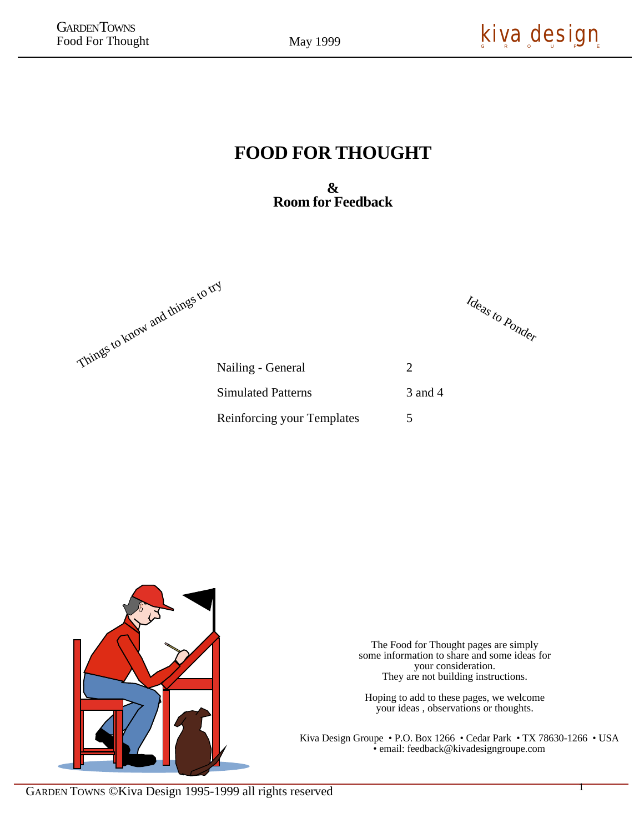May 1999

## **FOOD FOR THOUGHT**

**& Room for Feedback**

Things to know and things to try

Ideas to Ponder

| Nailing - General                 |         |
|-----------------------------------|---------|
| Simulated Patterns                | 3 and 4 |
| <b>Reinforcing your Templates</b> | 5       |



The Food for Thought pages are simply some information to share and some ideas for your consideration. They are not building instructions.

Hoping to add to these pages, we welcome your ideas , observations or thoughts.

Kiva Design Groupe • P.O. Box 1266 • Cedar Park • TX 78630-1266 • USA • email: feedback@kivadesigngroupe.com

1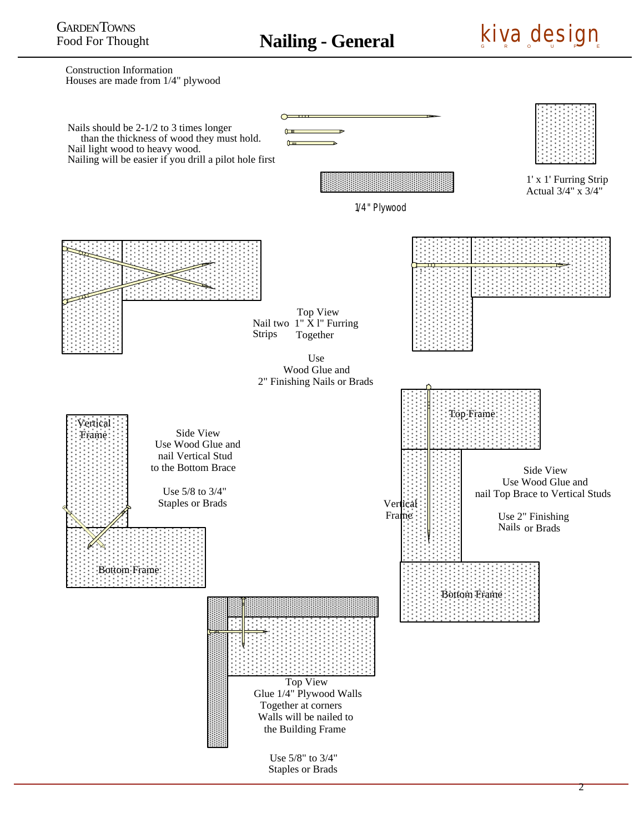**Nailing - General**



Construction Information Houses are made from 1/4" plywood

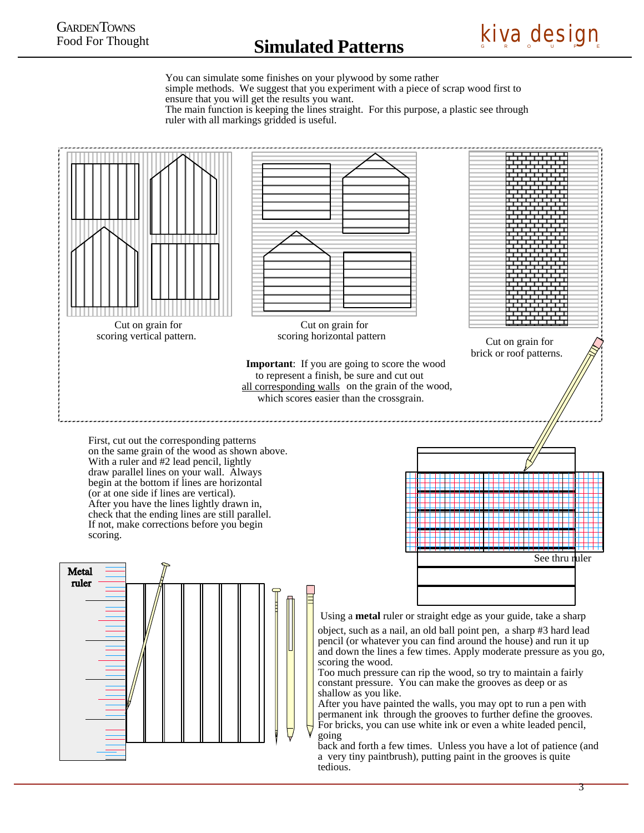

You can simulate some finishes on your plywood by some rather simple methods. We suggest that you experiment with a piece of scrap wood first to ensure that you will get the results you want. The main function is keeping the lines straight. For this purpose, a plastic see through ruler with all markings gridded is useful.

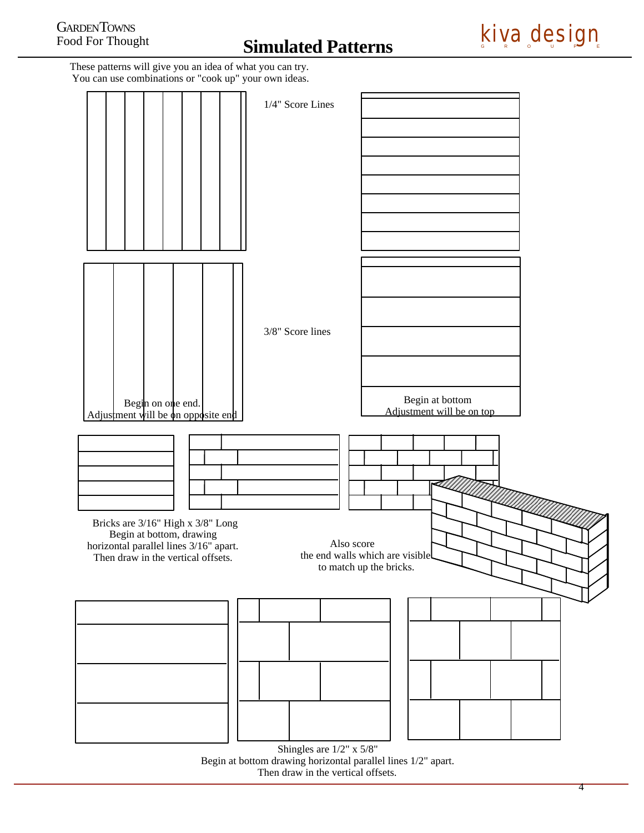

These patterns will give you an idea of what you can try. You can use combinations or "cook up" your own ideas.



Begin at bottom drawing horizontal parallel lines 1/2" apart. Then draw in the vertical offsets.